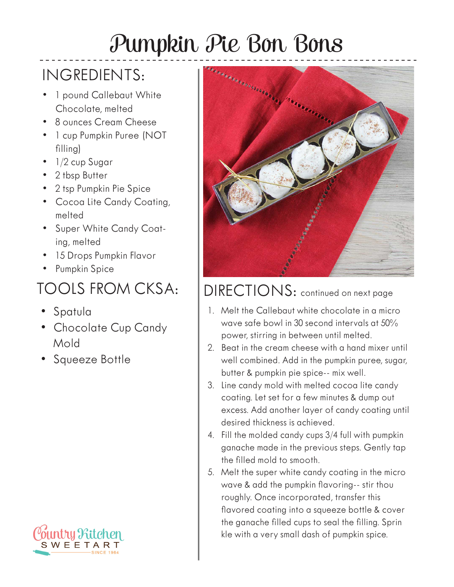## Pumpkin Pie Bon Bons

## INGREDIENTS:

- 1 pound Callebaut White Chocolate, melted
- 8 ounces Cream Cheese
- 1 cup Pumpkin Puree (NOT filling)
- 1/2 cup Sugar
- 2 tbsp Butter
- 2 tsp Pumpkin Pie Spice
- Cocoa Lite Candy Coating, melted
- Super White Candy Coating, melted
- 15 Drops Pumpkin Flavor
- Pumpkin Spice

## TOOLS FROM CKSA:

- Spatula
- Chocolate Cup Candy Mold
- Squeeze Bottle





## DIRECTIONS: continued on next page

- 1. Melt the Callebaut white chocolate in a micro wave safe bowl in 30 second intervals at 50% power, stirring in between until melted.
- 2. Beat in the cream cheese with a hand mixer until well combined. Add in the pumpkin puree, sugar, butter & pumpkin pie spice-- mix well.
- 3. Line candy mold with melted cocoa lite candy coating. Let set for a few minutes & dump out excess. Add another layer of candy coating until desired thickness is achieved.
- 4. Fill the molded candy cups 3/4 full with pumpkin ganache made in the previous steps. Gently tap the filled mold to smooth.
- 5. Melt the super white candy coating in the micro wave & add the pumpkin flavoring-- stir thou roughly. Once incorporated, transfer this flavored coating into a squeeze bottle & cover the ganache filled cups to seal the filling. Sprin kle with a very small dash of pumpkin spice.